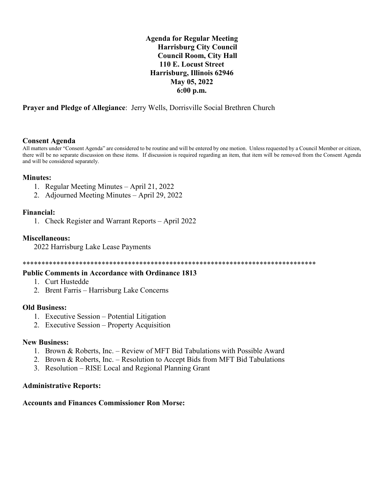**Agenda for Regular Meeting Harrisburg City Council Council Room, City Hall 110 E. Locust Street Harrisburg, Illinois 62946 May 05, 2022 6:00 p.m.**

**Prayer and Pledge of Allegiance**: Jerry Wells, Dorrisville Social Brethren Church

## **Consent Agenda**

All matters under "Consent Agenda" are considered to be routine and will be entered by one motion. Unless requested by a Council Member or citizen, there will be no separate discussion on these items. If discussion is required regarding an item, that item will be removed from the Consent Agenda and will be considered separately.

#### **Minutes:**

- 1. Regular Meeting Minutes April 21, 2022
- 2. Adjourned Meeting Minutes April 29, 2022

## **Financial:**

1. Check Register and Warrant Reports – April 2022

#### **Miscellaneous:**

2022 Harrisburg Lake Lease Payments

\*\*\*\*\*\*\*\*\*\*\*\*\*\*\*\*\*\*\*\*\*\*\*\*\*\*\*\*\*\*\*\*\*\*\*\*\*\*\*\*\*\*\*\*\*\*\*\*\*\*\*\*\*\*\*\*\*\*\*\*\*\*\*\*\*\*\*\*\*\*\*\*\*\*\*\*\*\*

## **Public Comments in Accordance with Ordinance 1813**

- 1. Curt Hustedde
- 2. Brent Farris Harrisburg Lake Concerns

## **Old Business:**

- 1. Executive Session Potential Litigation
- 2. Executive Session Property Acquisition

#### **New Business:**

- 1. Brown & Roberts, Inc. Review of MFT Bid Tabulations with Possible Award
- 2. Brown & Roberts, Inc. Resolution to Accept Bids from MFT Bid Tabulations
- 3. Resolution RISE Local and Regional Planning Grant

## **Administrative Reports:**

## **Accounts and Finances Commissioner Ron Morse:**